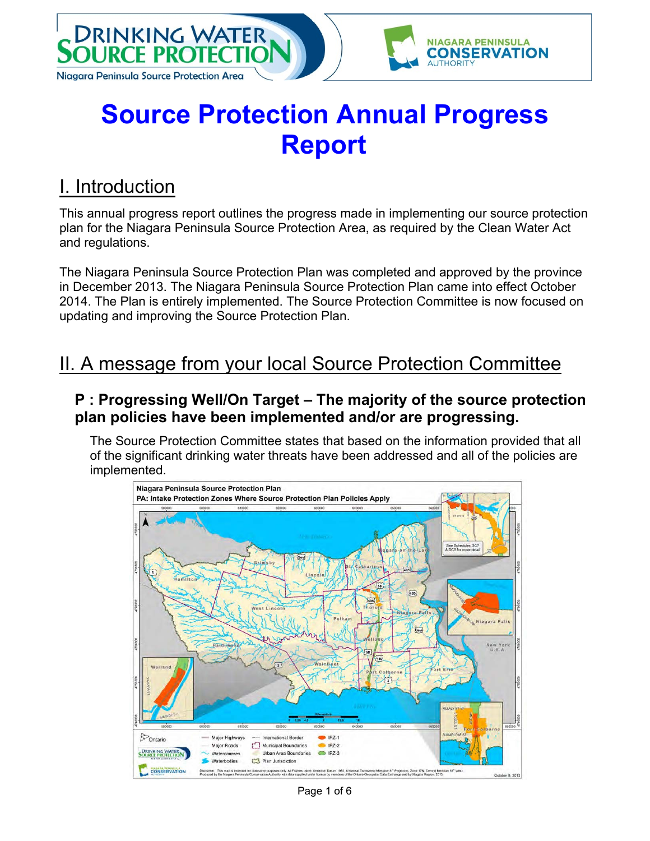

# **Source Protection Annual Progress Report**

#### I. Introduction

This annual progress report outlines the progress made in implementing our source protection plan for the Niagara Peninsula Source Protection Area, as required by the Clean Water Act and regulations.

The Niagara Peninsula Source Protection Plan was completed and approved by the province in December 2013. The Niagara Peninsula Source Protection Plan came into effect October 2014. The Plan is entirely implemented. The Source Protection Committee is now focused on updating and improving the Source Protection Plan.

### II. A message from your local Source Protection Committee

#### **P : Progressing Well/On Target – The majority of the source protection plan policies have been implemented and/or are progressing.**

The Source Protection Committee states that based on the information provided that all of the significant drinking water threats have been addressed and all of the policies are implemented.



Page 1 of 6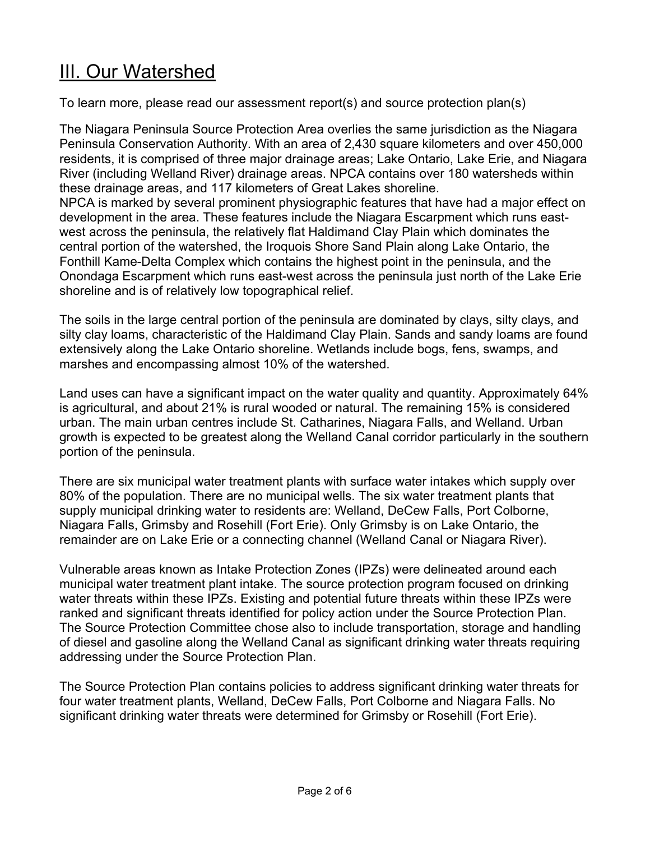## III. Our Watershed

To learn more, please read our assessment report(s) and source protection plan(s)

The Niagara Peninsula Source Protection Area overlies the same jurisdiction as the Niagara Peninsula Conservation Authority. With an area of 2,430 square kilometers and over 450,000 residents, it is comprised of three major drainage areas; Lake Ontario, Lake Erie, and Niagara River (including Welland River) drainage areas. NPCA contains over 180 watersheds within these drainage areas, and 117 kilometers of Great Lakes shoreline. NPCA is marked by several prominent physiographic features that have had a major effect on development in the area. These features include the Niagara Escarpment which runs eastwest across the peninsula, the relatively flat Haldimand Clay Plain which dominates the central portion of the watershed, the Iroquois Shore Sand Plain along Lake Ontario, the Fonthill Kame-Delta Complex which contains the highest point in the peninsula, and the Onondaga Escarpment which runs east-west across the peninsula just north of the Lake Erie shoreline and is of relatively low topographical relief.

The soils in the large central portion of the peninsula are dominated by clays, silty clays, and silty clay loams, characteristic of the Haldimand Clay Plain. Sands and sandy loams are found extensively along the Lake Ontario shoreline. Wetlands include bogs, fens, swamps, and marshes and encompassing almost 10% of the watershed.

Land uses can have a significant impact on the water quality and quantity. Approximately 64% is agricultural, and about 21% is rural wooded or natural. The remaining 15% is considered urban. The main urban centres include St. Catharines, Niagara Falls, and Welland. Urban growth is expected to be greatest along the Welland Canal corridor particularly in the southern portion of the peninsula.

There are six municipal water treatment plants with surface water intakes which supply over 80% of the population. There are no municipal wells. The six water treatment plants that supply municipal drinking water to residents are: Welland, DeCew Falls, Port Colborne, Niagara Falls, Grimsby and Rosehill (Fort Erie). Only Grimsby is on Lake Ontario, the remainder are on Lake Erie or a connecting channel (Welland Canal or Niagara River).

Vulnerable areas known as Intake Protection Zones (IPZs) were delineated around each municipal water treatment plant intake. The source protection program focused on drinking water threats within these IPZs. Existing and potential future threats within these IPZs were ranked and significant threats identified for policy action under the Source Protection Plan. The Source Protection Committee chose also to include transportation, storage and handling of diesel and gasoline along the Welland Canal as significant drinking water threats requiring addressing under the Source Protection Plan.

The Source Protection Plan contains policies to address significant drinking water threats for four water treatment plants, Welland, DeCew Falls, Port Colborne and Niagara Falls. No significant drinking water threats were determined for Grimsby or Rosehill (Fort Erie).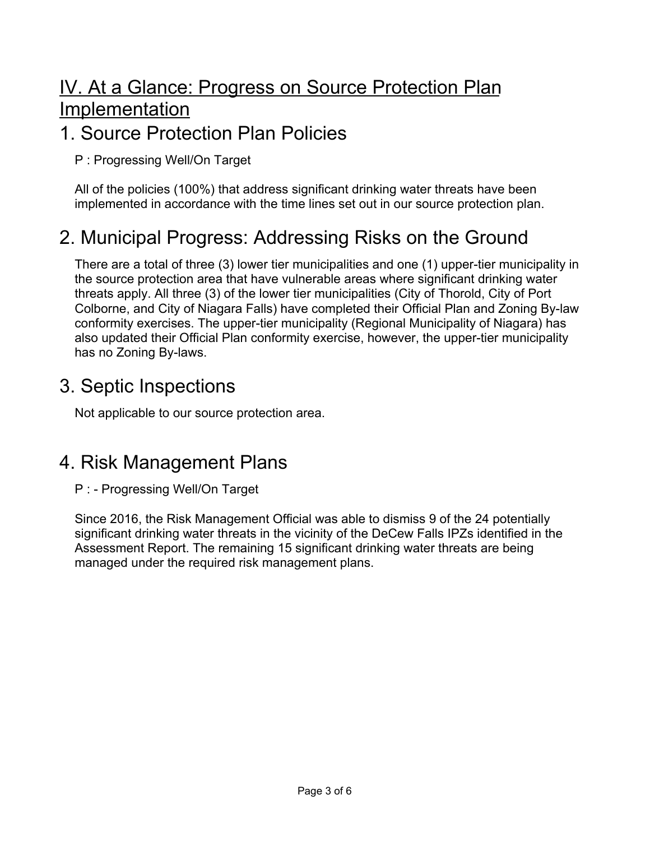## IV. At a Glance: Progress on Source Protection Plan Implementation

#### 1. Source Protection Plan Policies

P : Progressing Well/On Target

All of the policies (100%) that address significant drinking water threats have been implemented in accordance with the time lines set out in our source protection plan.

## 2. Municipal Progress: Addressing Risks on the Ground

There are a total of three (3) lower tier municipalities and one (1) upper-tier municipality in the source protection area that have vulnerable areas where significant drinking water threats apply. All three (3) of the lower tier municipalities (City of Thorold, City of Port Colborne, and City of Niagara Falls) have completed their Official Plan and Zoning By-law conformity exercises. The upper-tier municipality (Regional Municipality of Niagara) has also updated their Official Plan conformity exercise, however, the upper-tier municipality has no Zoning By-laws.

#### 3. Septic Inspections

Not applicable to our source protection area.

#### 4. Risk Management Plans

P : - Progressing Well/On Target

Since 2016, the Risk Management Official was able to dismiss 9 of the 24 potentially significant drinking water threats in the vicinity of the DeCew Falls IPZs identified in the Assessment Report. The remaining 15 significant drinking water threats are being managed under the required risk management plans.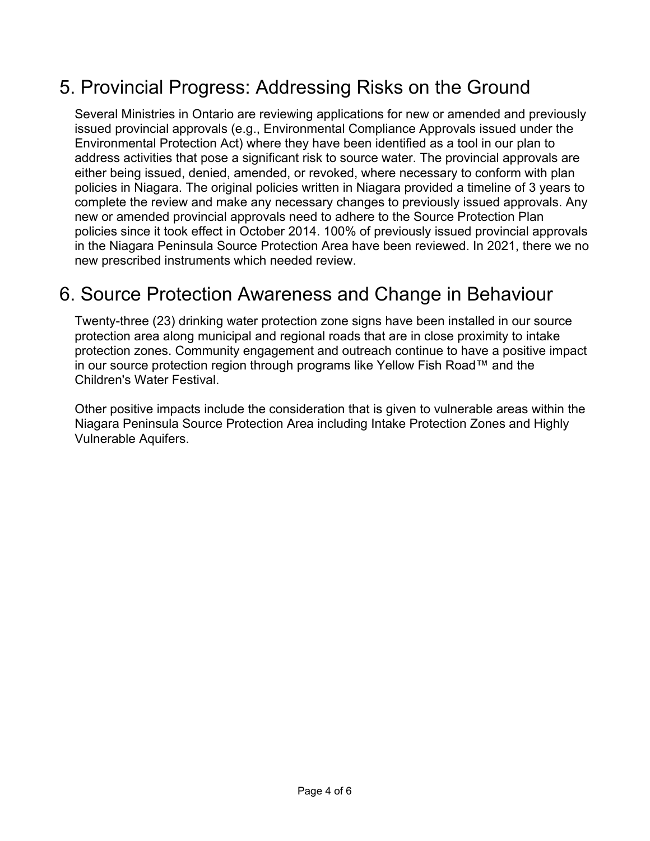## 5. Provincial Progress: Addressing Risks on the Ground

Several Ministries in Ontario are reviewing applications for new or amended and previously issued provincial approvals (e.g., Environmental Compliance Approvals issued under the Environmental Protection Act) where they have been identified as a tool in our plan to address activities that pose a significant risk to source water. The provincial approvals are either being issued, denied, amended, or revoked, where necessary to conform with plan policies in Niagara. The original policies written in Niagara provided a timeline of 3 years to complete the review and make any necessary changes to previously issued approvals. Any new or amended provincial approvals need to adhere to the Source Protection Plan policies since it took effect in October 2014. 100% of previously issued provincial approvals in the Niagara Peninsula Source Protection Area have been reviewed. In 2021, there we no new prescribed instruments which needed review.

### 6. Source Protection Awareness and Change in Behaviour

Twenty-three (23) drinking water protection zone signs have been installed in our source protection area along municipal and regional roads that are in close proximity to intake protection zones. Community engagement and outreach continue to have a positive impact in our source protection region through programs like Yellow Fish Road™ and the Children's Water Festival.

Other positive impacts include the consideration that is given to vulnerable areas within the Niagara Peninsula Source Protection Area including Intake Protection Zones and Highly Vulnerable Aquifers.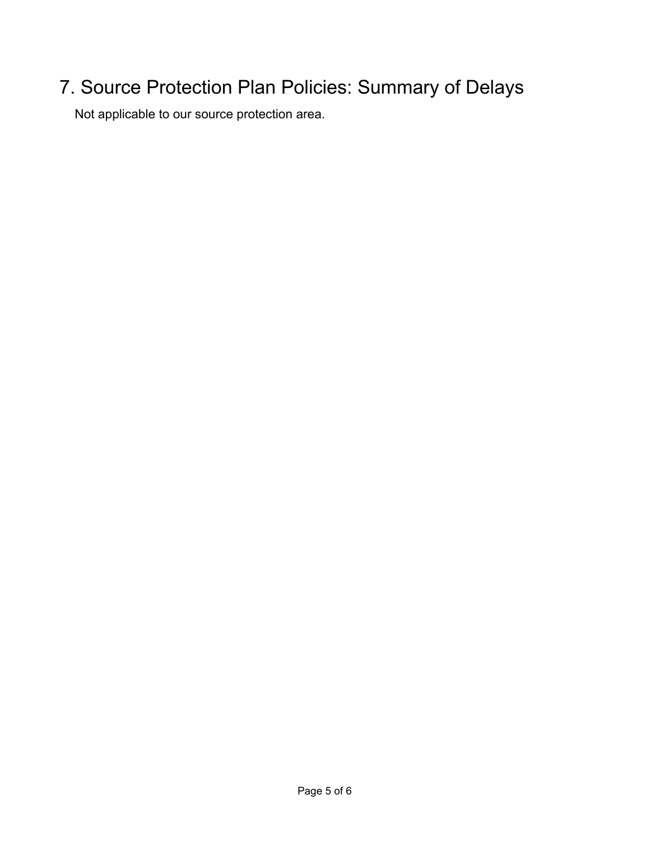## 7. Source Protection Plan Policies: Summary of Delays

Not applicable to our source protection area.